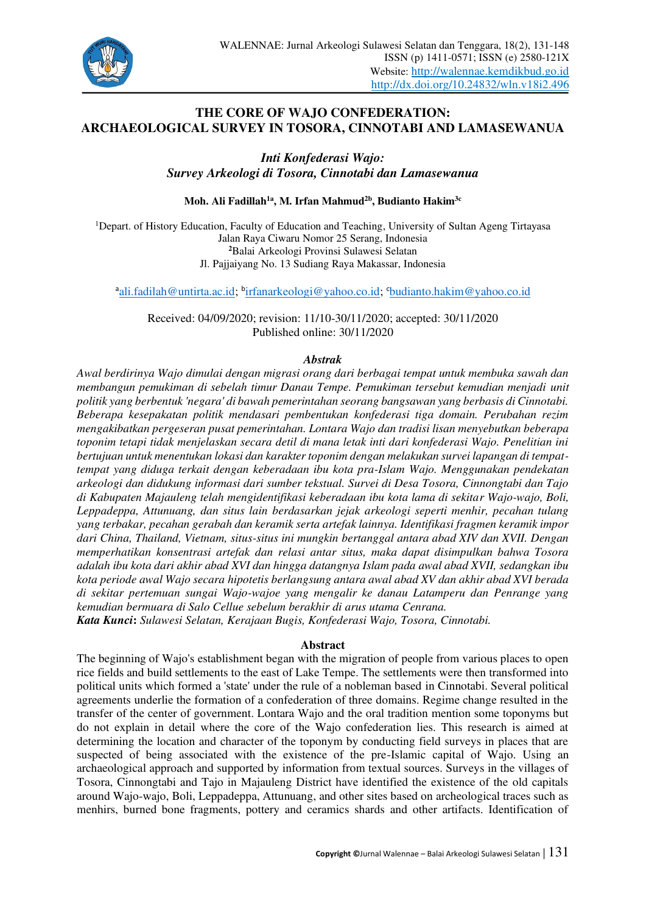

# **THE CORE OF WAJO CONFEDERATION: ARCHAEOLOGICAL SURVEY IN TOSORA, CINNOTABI AND LAMASEWANUA**

*Inti Konfederasi Wajo: Survey Arkeologi di Tosora, Cinnotabi dan Lamasewanua* 

**Moh. Ali Fadillah1a, M. Irfan Mahmud2b, Budianto Hakim3c**

<sup>1</sup>Depart. of History Education, Faculty of Education and Teaching, University of Sultan Ageng Tirtayasa Jalan Raya Ciwaru Nomor 25 Serang, Indonesia **<sup>2</sup>**Balai Arkeologi Provinsi Sulawesi Selatan Jl. Pajjaiyang No. 13 Sudiang Raya Makassar, Indonesia

<sup>a</sup>[ali.fadilah@untirta.ac.id;](mailto:ali.fadilah@untirta.ac.id) <sup>b</sup>[irfanarkeologi@yahoo.co.id;](mailto:irfanarkeologi@yahoo.co.id) cbudianto.hakim@yahoo.co.id

Received: 04/09/2020; revision: 11/10-30/11/2020; accepted: 30/11/2020 Published online: 30/11/2020

#### *Abstrak*

*Awal berdirinya Wajo dimulai dengan migrasi orang dari berbagai tempat untuk membuka sawah dan membangun pemukiman di sebelah timur Danau Tempe. Pemukiman tersebut kemudian menjadi unit politik yang berbentuk 'negara' di bawah pemerintahan seorang bangsawan yang berbasis di Cinnotabi. Beberapa kesepakatan politik mendasari pembentukan konfederasi tiga domain. Perubahan rezim mengakibatkan pergeseran pusat pemerintahan. Lontara Wajo dan tradisi lisan menyebutkan beberapa toponim tetapi tidak menjelaskan secara detil di mana letak inti dari konfederasi Wajo. Penelitian ini bertujuan untuk menentukan lokasi dan karakter toponim dengan melakukan survei lapangan di tempattempat yang diduga terkait dengan keberadaan ibu kota pra-Islam Wajo. Menggunakan pendekatan arkeologi dan didukung informasi dari sumber tekstual. Survei di Desa Tosora, Cinnongtabi dan Tajo di Kabupaten Majauleng telah mengidentifikasi keberadaan ibu kota lama di sekitar Wajo-wajo, Boli, Leppadeppa, Attunuang, dan situs lain berdasarkan jejak arkeologi seperti menhir, pecahan tulang yang terbakar, pecahan gerabah dan keramik serta artefak lainnya. Identifikasi fragmen keramik impor dari China, Thailand, Vietnam, situs-situs ini mungkin bertanggal antara abad XIV dan XVII. Dengan memperhatikan konsentrasi artefak dan relasi antar situs, maka dapat disimpulkan bahwa Tosora adalah ibu kota dari akhir abad XVI dan hingga datangnya Islam pada awal abad XVII, sedangkan ibu kota periode awal Wajo secara hipotetis berlangsung antara awal abad XV dan akhir abad XVI berada di sekitar pertemuan sungai Wajo-wajoe yang mengalir ke danau Latamperu dan Penrange yang kemudian bermuara di Salo Cellue sebelum berakhir di arus utama Cenrana.* 

*Kata Kunci***:** *Sulawesi Selatan, Kerajaan Bugis, Konfederasi Wajo, Tosora, Cinnotabi.*

### **Abstract**

The beginning of Wajo's establishment began with the migration of people from various places to open rice fields and build settlements to the east of Lake Tempe. The settlements were then transformed into political units which formed a 'state' under the rule of a nobleman based in Cinnotabi. Several political agreements underlie the formation of a confederation of three domains. Regime change resulted in the transfer of the center of government. Lontara Wajo and the oral tradition mention some toponyms but do not explain in detail where the core of the Wajo confederation lies. This research is aimed at determining the location and character of the toponym by conducting field surveys in places that are suspected of being associated with the existence of the pre-Islamic capital of Wajo. Using an archaeological approach and supported by information from textual sources. Surveys in the villages of Tosora, Cinnongtabi and Tajo in Majauleng District have identified the existence of the old capitals around Wajo-wajo, Boli, Leppadeppa, Attunuang, and other sites based on archeological traces such as menhirs, burned bone fragments, pottery and ceramics shards and other artifacts. Identification of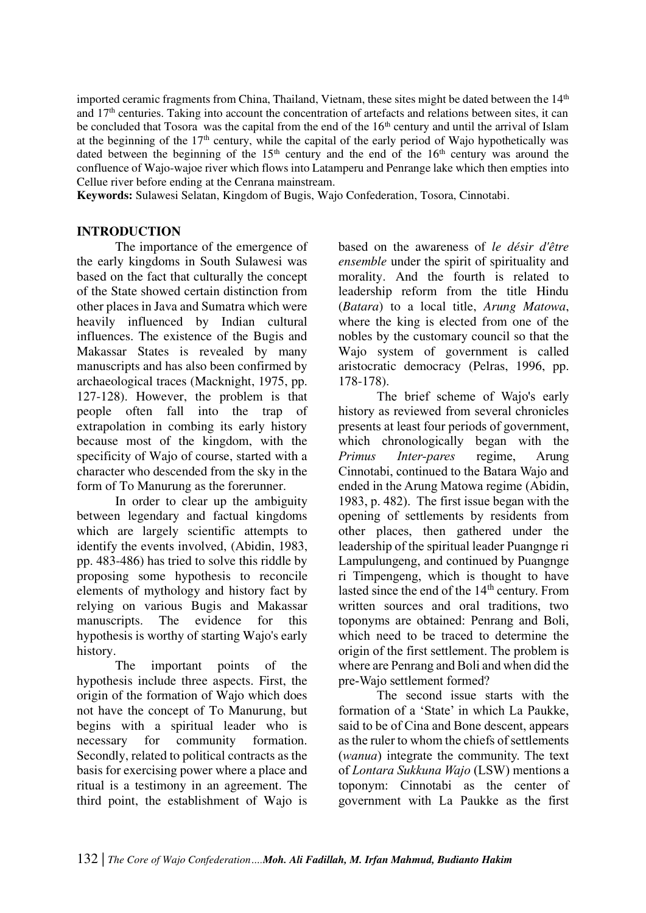imported ceramic fragments from China, Thailand, Vietnam, these sites might be dated between the  $14<sup>th</sup>$ and 17th centuries. Taking into account the concentration of artefacts and relations between sites, it can be concluded that Tosora was the capital from the end of the  $16<sup>th</sup>$  century and until the arrival of Islam at the beginning of the  $17<sup>th</sup>$  century, while the capital of the early period of Wajo hypothetically was dated between the beginning of the  $15<sup>th</sup>$  century and the end of the  $16<sup>th</sup>$  century was around the confluence of Wajo-wajoe river which flows into Latamperu and Penrange lake which then empties into Cellue river before ending at the Cenrana mainstream.

**Keywords:** Sulawesi Selatan, Kingdom of Bugis, Wajo Confederation, Tosora, Cinnotabi.

## **INTRODUCTION**

The importance of the emergence of the early kingdoms in South Sulawesi was based on the fact that culturally the concept of the State showed certain distinction from other places in Java and Sumatra which were heavily influenced by Indian cultural influences. The existence of the Bugis and Makassar States is revealed by many manuscripts and has also been confirmed by archaeological traces (Macknight, 1975, pp. 127-128). However, the problem is that people often fall into the trap of extrapolation in combing its early history because most of the kingdom, with the specificity of Wajo of course, started with a character who descended from the sky in the form of To Manurung as the forerunner.

In order to clear up the ambiguity between legendary and factual kingdoms which are largely scientific attempts to identify the events involved, (Abidin, 1983, pp. 483-486) has tried to solve this riddle by proposing some hypothesis to reconcile elements of mythology and history fact by relying on various Bugis and Makassar manuscripts. The evidence for this hypothesis is worthy of starting Wajo's early history.

The important points of the hypothesis include three aspects. First, the origin of the formation of Wajo which does not have the concept of To Manurung, but begins with a spiritual leader who is necessary for community formation. Secondly, related to political contracts as the basis for exercising power where a place and ritual is a testimony in an agreement. The third point, the establishment of Wajo is based on the awareness of *le désir d'être ensemble* under the spirit of spirituality and morality. And the fourth is related to leadership reform from the title Hindu (*Batara*) to a local title, *Arung Matowa*, where the king is elected from one of the nobles by the customary council so that the Wajo system of government is called aristocratic democracy (Pelras, 1996, pp. 178-178).

The brief scheme of Wajo's early history as reviewed from several chronicles presents at least four periods of government, which chronologically began with the *Primus Inter-pares* regime, Arung Cinnotabi, continued to the Batara Wajo and ended in the Arung Matowa regime (Abidin, 1983, p. 482). The first issue began with the opening of settlements by residents from other places, then gathered under the leadership of the spiritual leader Puangnge ri Lampulungeng, and continued by Puangnge ri Timpengeng, which is thought to have lasted since the end of the 14<sup>th</sup> century. From written sources and oral traditions, two toponyms are obtained: Penrang and Boli, which need to be traced to determine the origin of the first settlement. The problem is where are Penrang and Boli and when did the pre-Wajo settlement formed?

The second issue starts with the formation of a 'State' in which La Paukke, said to be of Cina and Bone descent, appears as the ruler to whom the chiefs of settlements (*wanua*) integrate the community. The text of *Lontara Sukkuna Wajo* (LSW) mentions a toponym: Cinnotabi as the center of government with La Paukke as the first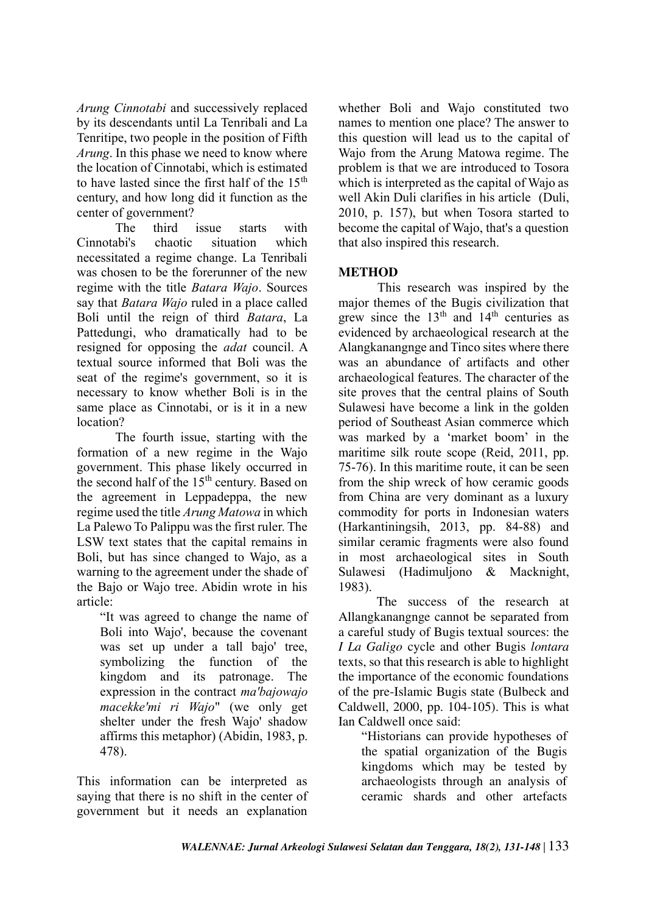*Arung Cinnotabi* and successively replaced by its descendants until La Tenribali and La Tenritipe, two people in the position of Fifth *Arung*. In this phase we need to know where the location of Cinnotabi, which is estimated to have lasted since the first half of the  $15<sup>th</sup>$ century, and how long did it function as the center of government?

The third issue starts with Cinnotabi's chaotic situation which necessitated a regime change. La Tenribali was chosen to be the forerunner of the new regime with the title *Batara Wajo*. Sources say that *Batara Wajo* ruled in a place called Boli until the reign of third *Batara*, La Pattedungi, who dramatically had to be resigned for opposing the *adat* council. A textual source informed that Boli was the seat of the regime's government, so it is necessary to know whether Boli is in the same place as Cinnotabi, or is it in a new location?

The fourth issue, starting with the formation of a new regime in the Wajo government. This phase likely occurred in the second half of the 15<sup>th</sup> century. Based on the agreement in Leppadeppa, the new regime used the title *Arung Matowa* in which La Palewo To Palippu was the first ruler. The LSW text states that the capital remains in Boli, but has since changed to Wajo, as a warning to the agreement under the shade of the Bajo or Wajo tree. Abidin wrote in his article:

"It was agreed to change the name of Boli into Wajo', because the covenant was set up under a tall bajo' tree, symbolizing the function of the kingdom and its patronage. The expression in the contract *ma'bajowajo macekke'mi ri Wajo*" (we only get shelter under the fresh Wajo' shadow affirms this metaphor) (Abidin, 1983, p. 478).

This information can be interpreted as saying that there is no shift in the center of government but it needs an explanation whether Boli and Wajo constituted two names to mention one place? The answer to this question will lead us to the capital of Wajo from the Arung Matowa regime. The problem is that we are introduced to Tosora which is interpreted as the capital of Wajo as well Akin Duli clarifies in his article (Duli, 2010, p. 157), but when Tosora started to become the capital of Wajo, that's a question that also inspired this research.

# **METHOD**

This research was inspired by the major themes of the Bugis civilization that grew since the  $13<sup>th</sup>$  and  $14<sup>th</sup>$  centuries as evidenced by archaeological research at the Alangkanangnge and Tinco sites where there was an abundance of artifacts and other archaeological features. The character of the site proves that the central plains of South Sulawesi have become a link in the golden period of Southeast Asian commerce which was marked by a 'market boom' in the maritime silk route scope (Reid, 2011, pp. 75-76). In this maritime route, it can be seen from the ship wreck of how ceramic goods from China are very dominant as a luxury commodity for ports in Indonesian waters (Harkantiningsih, 2013, pp. 84-88) and similar ceramic fragments were also found in most archaeological sites in South Sulawesi (Hadimuljono & Macknight, 1983).

The success of the research at Allangkanangnge cannot be separated from a careful study of Bugis textual sources: the *I La Galigo* cycle and other Bugis *lontara* texts, so that this research is able to highlight the importance of the economic foundations of the pre-Islamic Bugis state (Bulbeck and Caldwell, 2000, pp. 104-105). This is what Ian Caldwell once said:

"Historians can provide hypotheses of the spatial organization of the Bugis kingdoms which may be tested by archaeologists through an analysis of ceramic shards and other artefacts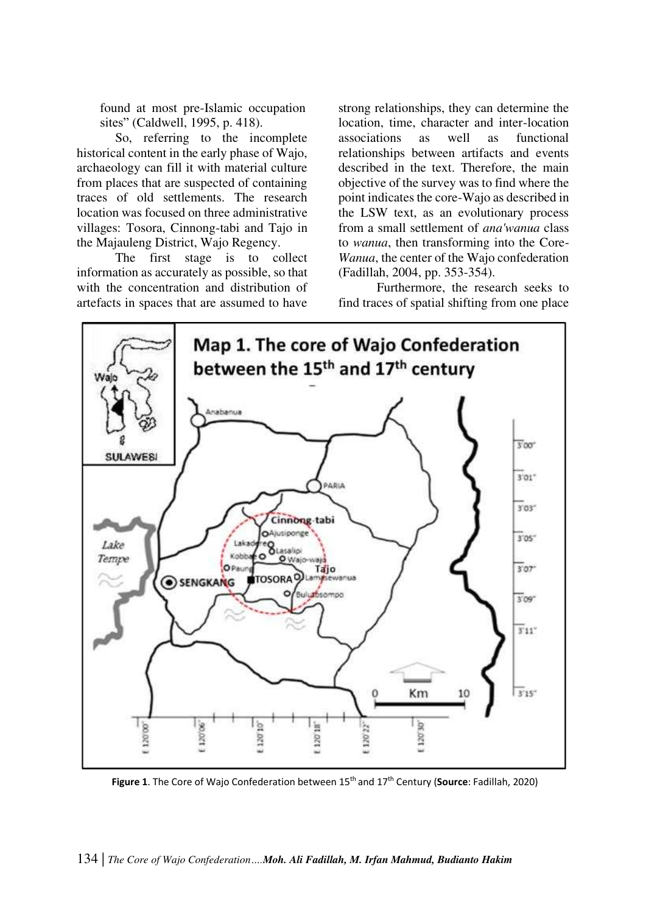found at most pre-Islamic occupation sites" (Caldwell, 1995, p. 418).

So, referring to the incomplete historical content in the early phase of Wajo, archaeology can fill it with material culture from places that are suspected of containing traces of old settlements. The research location was focused on three administrative villages: Tosora, Cinnong-tabi and Tajo in the Majauleng District, Wajo Regency.

The first stage is to collect information as accurately as possible, so that with the concentration and distribution of artefacts in spaces that are assumed to have strong relationships, they can determine the location, time, character and inter-location associations as well as functional relationships between artifacts and events described in the text. Therefore, the main objective of the survey was to find where the point indicates the core-Wajo as described in the LSW text, as an evolutionary process from a small settlement of *ana'wanua* class to *wanua*, then transforming into the Core-*Wanua*, the center of the Wajo confederation (Fadillah, 2004, pp. 353-354).

Furthermore, the research seeks to find traces of spatial shifting from one place



**Figure 1**. The Core of Wajo Confederation between 15th and 17th Century (**Source**: Fadillah, 2020)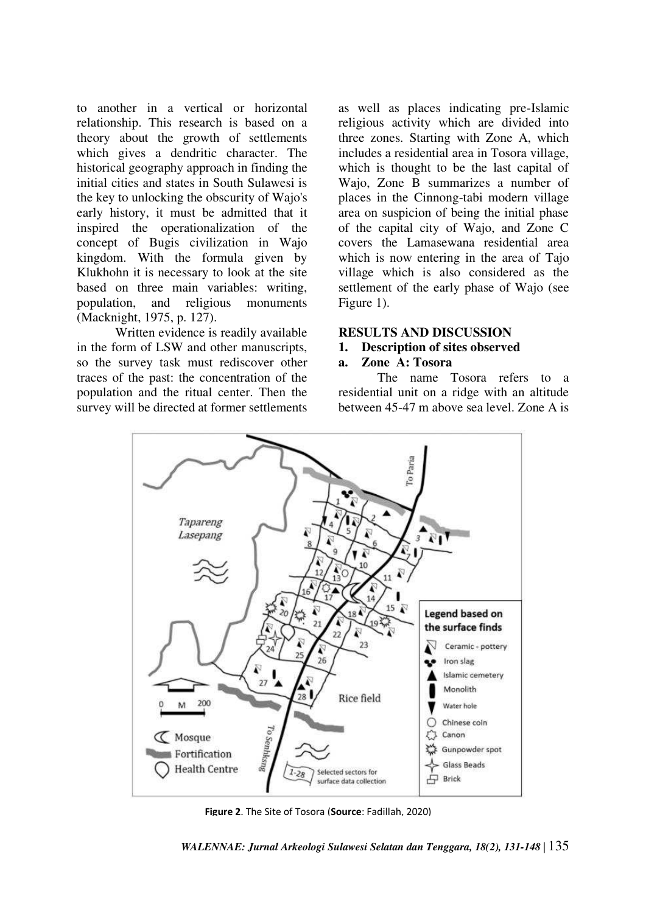to another in a vertical or horizontal relationship. This research is based on a theory about the growth of settlements which gives a dendritic character. The historical geography approach in finding the initial cities and states in South Sulawesi is the key to unlocking the obscurity of Wajo's early history, it must be admitted that it inspired the operationalization of the concept of Bugis civilization in Wajo kingdom. With the formula given by Klukhohn it is necessary to look at the site based on three main variables: writing, population, and religious monuments (Macknight, 1975, p. 127).

Written evidence is readily available in the form of LSW and other manuscripts, so the survey task must rediscover other traces of the past: the concentration of the population and the ritual center. Then the survey will be directed at former settlements as well as places indicating pre-Islamic religious activity which are divided into three zones. Starting with Zone A, which includes a residential area in Tosora village, which is thought to be the last capital of Wajo, Zone B summarizes a number of places in the Cinnong-tabi modern village area on suspicion of being the initial phase of the capital city of Wajo, and Zone C covers the Lamasewana residential area which is now entering in the area of Tajo village which is also considered as the settlement of the early phase of Wajo (see Figure 1).

#### **RESULTS AND DISCUSSION**

#### **1. Description of sites observed**

### **a. Zone A: Tosora**

The name Tosora refers to a residential unit on a ridge with an altitude between 45-47 m above sea level. Zone A is



**Figure 2**. The Site of Tosora (**Source**: Fadillah, 2020)

*WALENNAE: Jurnal Arkeologi Sulawesi Selatan dan Tenggara, 18(2), 131-148* | 135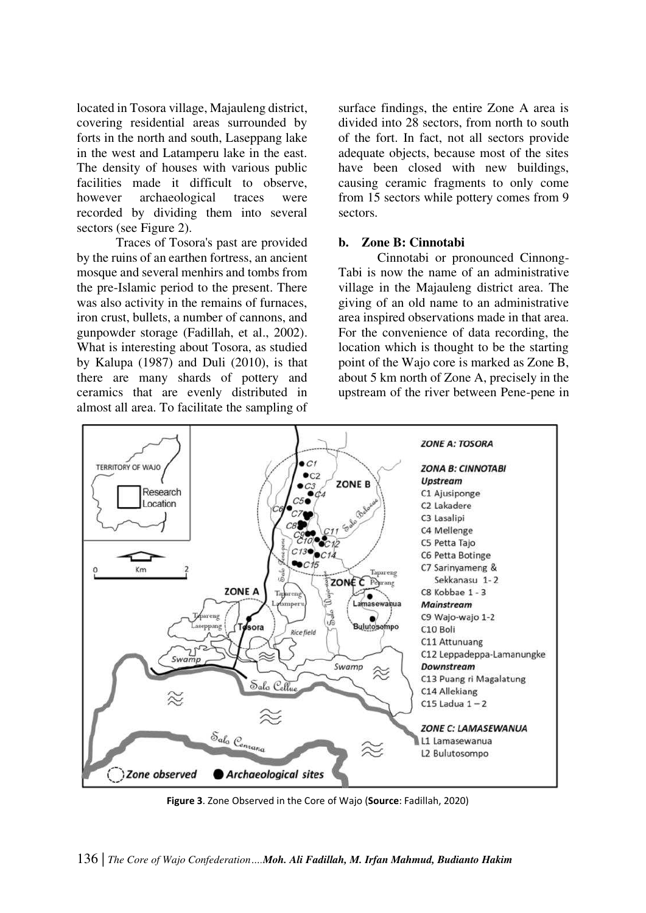located in Tosora village, Majauleng district, covering residential areas surrounded by forts in the north and south, Laseppang lake in the west and Latamperu lake in the east. The density of houses with various public facilities made it difficult to observe, however archaeological traces were recorded by dividing them into several sectors (see Figure 2).

Traces of Tosora's past are provided by the ruins of an earthen fortress, an ancient mosque and several menhirs and tombs from the pre-Islamic period to the present. There was also activity in the remains of furnaces, iron crust, bullets, a number of cannons, and gunpowder storage (Fadillah, et al., 2002). What is interesting about Tosora, as studied by Kalupa (1987) and Duli (2010), is that there are many shards of pottery and ceramics that are evenly distributed in almost all area. To facilitate the sampling of surface findings, the entire Zone A area is divided into 28 sectors, from north to south of the fort. In fact, not all sectors provide adequate objects, because most of the sites have been closed with new buildings, causing ceramic fragments to only come from 15 sectors while pottery comes from 9 sectors.

#### **b. Zone B: Cinnotabi**

Cinnotabi or pronounced Cinnong-Tabi is now the name of an administrative village in the Majauleng district area. The giving of an old name to an administrative area inspired observations made in that area. For the convenience of data recording, the location which is thought to be the starting point of the Wajo core is marked as Zone B, about 5 km north of Zone A, precisely in the upstream of the river between Pene-pene in



**Figure 3**. Zone Observed in the Core of Wajo (**Source**: Fadillah, 2020)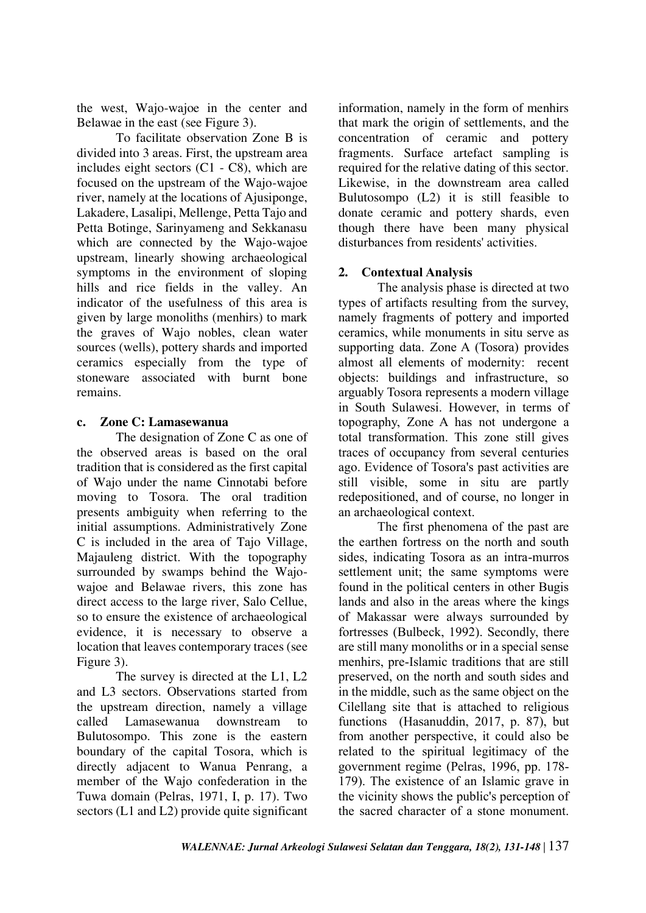the west, Wajo-wajoe in the center and Belawae in the east (see Figure 3).

To facilitate observation Zone B is divided into 3 areas. First, the upstream area includes eight sectors (C1 - C8), which are focused on the upstream of the Wajo-wajoe river, namely at the locations of Ajusiponge, Lakadere, Lasalipi, Mellenge, Petta Tajo and Petta Botinge, Sarinyameng and Sekkanasu which are connected by the Wajo-wajoe upstream, linearly showing archaeological symptoms in the environment of sloping hills and rice fields in the valley. An indicator of the usefulness of this area is given by large monoliths (menhirs) to mark the graves of Wajo nobles, clean water sources (wells), pottery shards and imported ceramics especially from the type of stoneware associated with burnt bone remains.

### **c. Zone C: Lamasewanua**

The designation of Zone C as one of the observed areas is based on the oral tradition that is considered as the first capital of Wajo under the name Cinnotabi before moving to Tosora. The oral tradition presents ambiguity when referring to the initial assumptions. Administratively Zone C is included in the area of Tajo Village, Majauleng district. With the topography surrounded by swamps behind the Wajowajoe and Belawae rivers, this zone has direct access to the large river, Salo Cellue, so to ensure the existence of archaeological evidence, it is necessary to observe a location that leaves contemporary traces (see Figure 3).

The survey is directed at the L1, L2 and L3 sectors. Observations started from the upstream direction, namely a village called Lamasewanua downstream to Bulutosompo. This zone is the eastern boundary of the capital Tosora, which is directly adjacent to Wanua Penrang, a member of the Wajo confederation in the Tuwa domain (Pelras, 1971, I, p. 17). Two sectors (L1 and L2) provide quite significant information, namely in the form of menhirs that mark the origin of settlements, and the concentration of ceramic and pottery fragments. Surface artefact sampling is required for the relative dating of this sector. Likewise, in the downstream area called Bulutosompo (L2) it is still feasible to donate ceramic and pottery shards, even though there have been many physical disturbances from residents' activities.

## **2. Contextual Analysis**

The analysis phase is directed at two types of artifacts resulting from the survey, namely fragments of pottery and imported ceramics, while monuments in situ serve as supporting data. Zone A (Tosora) provides almost all elements of modernity: recent objects: buildings and infrastructure, so arguably Tosora represents a modern village in South Sulawesi. However, in terms of topography, Zone A has not undergone a total transformation. This zone still gives traces of occupancy from several centuries ago. Evidence of Tosora's past activities are still visible, some in situ are partly redepositioned, and of course, no longer in an archaeological context.

The first phenomena of the past are the earthen fortress on the north and south sides, indicating Tosora as an intra-murros settlement unit; the same symptoms were found in the political centers in other Bugis lands and also in the areas where the kings of Makassar were always surrounded by fortresses (Bulbeck, 1992). Secondly, there are still many monoliths or in a special sense menhirs, pre-Islamic traditions that are still preserved, on the north and south sides and in the middle, such as the same object on the Cilellang site that is attached to religious functions (Hasanuddin, 2017, p. 87), but from another perspective, it could also be related to the spiritual legitimacy of the government regime (Pelras, 1996, pp. 178- 179). The existence of an Islamic grave in the vicinity shows the public's perception of the sacred character of a stone monument.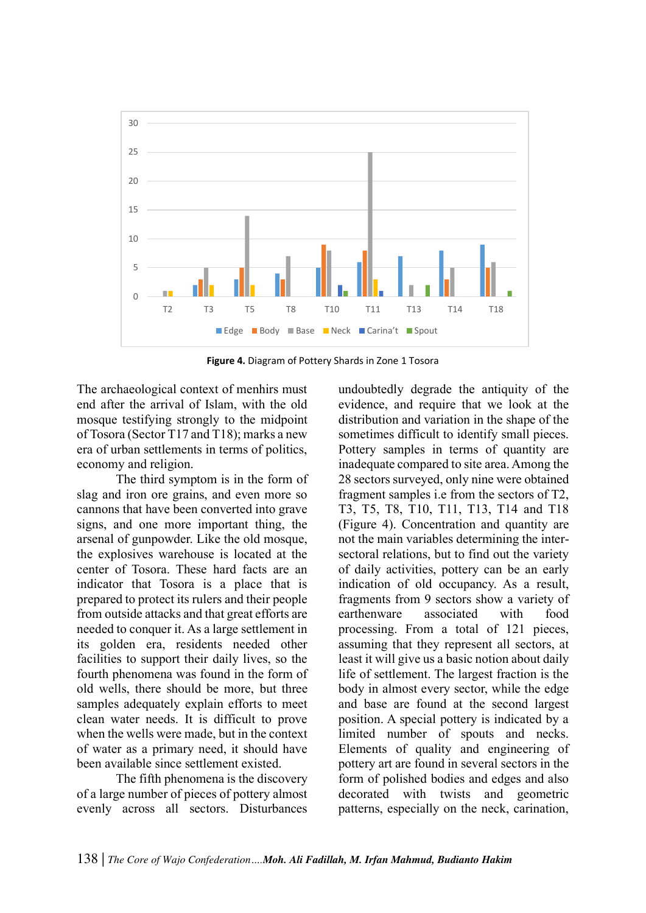

**Figure 4.** Diagram of Pottery Shards in Zone 1 Tosora

The archaeological context of menhirs must end after the arrival of Islam, with the old mosque testifying strongly to the midpoint of Tosora (Sector T17 and T18); marks a new era of urban settlements in terms of politics, economy and religion.

The third symptom is in the form of slag and iron ore grains, and even more so cannons that have been converted into grave signs, and one more important thing, the arsenal of gunpowder. Like the old mosque, the explosives warehouse is located at the center of Tosora. These hard facts are an indicator that Tosora is a place that is prepared to protect its rulers and their people from outside attacks and that great efforts are needed to conquer it. As a large settlement in its golden era, residents needed other facilities to support their daily lives, so the fourth phenomena was found in the form of old wells, there should be more, but three samples adequately explain efforts to meet clean water needs. It is difficult to prove when the wells were made, but in the context of water as a primary need, it should have been available since settlement existed.

The fifth phenomena is the discovery of a large number of pieces of pottery almost evenly across all sectors. Disturbances

undoubtedly degrade the antiquity of the evidence, and require that we look at the distribution and variation in the shape of the sometimes difficult to identify small pieces. Pottery samples in terms of quantity are inadequate compared to site area. Among the 28 sectors surveyed, only nine were obtained fragment samples i.e from the sectors of T2, T3, T5, T8, T10, T11, T13, T14 and T18 (Figure 4). Concentration and quantity are not the main variables determining the intersectoral relations, but to find out the variety of daily activities, pottery can be an early indication of old occupancy. As a result, fragments from 9 sectors show a variety of earthenware associated with food processing. From a total of 121 pieces, assuming that they represent all sectors, at least it will give us a basic notion about daily life of settlement. The largest fraction is the body in almost every sector, while the edge and base are found at the second largest position. A special pottery is indicated by a limited number of spouts and necks. Elements of quality and engineering of pottery art are found in several sectors in the form of polished bodies and edges and also decorated with twists and geometric patterns, especially on the neck, carination,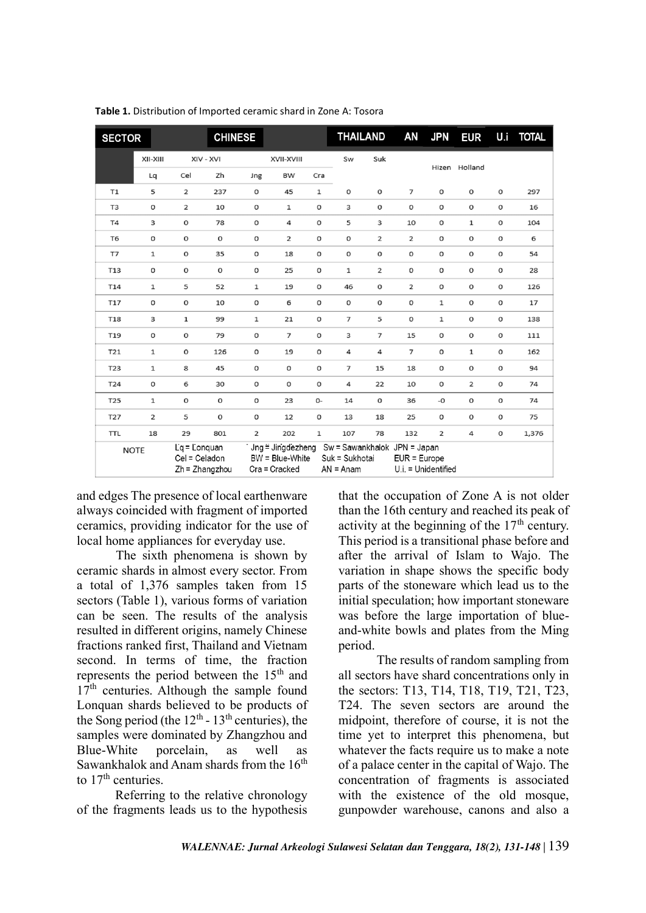| <b>SECTOR</b>  |                |                               | <b>CHINESE</b>   |                     |                                                                                    |              | THAILAND                      |                | AN                                  | <b>JPN</b>          | <b>EUR</b>    | U.i                 | <b>TOTAL</b> |
|----------------|----------------|-------------------------------|------------------|---------------------|------------------------------------------------------------------------------------|--------------|-------------------------------|----------------|-------------------------------------|---------------------|---------------|---------------------|--------------|
|                | XII-XIII       |                               | XIV - XVI        |                     | XVII-XVIII                                                                         |              | Sw                            | Suk            |                                     |                     |               |                     |              |
|                | Lq             | Cel                           | Zh               | Jng                 | BW                                                                                 | Cra          |                               |                |                                     |                     | Hizen Holland |                     |              |
| T1             | 5              | $\overline{2}$                | 237              | $\mathsf{O}\xspace$ | 45                                                                                 | $\mathbf 1$  | 0                             | 0              | $\overline{7}$                      | $\mathsf{O}$        | $\mathsf{o}$  | $\mathsf{O}\xspace$ | 297          |
| T <sub>3</sub> | o              | 2                             | 10               | o                   | $\mathbf 1$                                                                        | $\mathsf{o}$ | з                             | 0              | $\mathsf{o}$                        | $\mathsf{o}$        | o             | $\mathbf 0$         | 16           |
| T <sub>4</sub> | 3              | 0                             | 78               | 0                   | 4                                                                                  | $\mathsf{O}$ | 5                             | з              | 10                                  | 0                   | 1             | $\mathsf{O}$        | 104          |
| T <sub>6</sub> | o              | o                             | O                | $\mathsf{o}$        | 2                                                                                  | $\mathsf{o}$ | O                             | $\overline{2}$ | $\overline{2}$                      | $\mathsf{o}$        | 0             | o                   | 6            |
| T7             | $\mathbf 1$    | 0                             | 35               | 0                   | 18                                                                                 | $\mathsf{O}$ | $\mathsf{O}$                  | 0              | $\mathsf O$                         | $\mathsf{O}$        | 0             | $\mathsf O$         | 54           |
| T13            | 0              | o                             | O                | $\mathsf{O}$        | 25                                                                                 | $\mathsf{o}$ | 1                             | 2              | $\mathsf O$                         | O                   | o             | o                   | 28           |
| T14            | $\mathbf 1$    | 5                             | 52               | 1                   | 19                                                                                 | $\mathsf{O}$ | 46                            | o              | $\overline{2}$                      | 0                   | 0             | $\mathbf 0$         | 126          |
| T17            | 0              | 0                             | 10               | 0                   | 6                                                                                  | 0            | $\mathsf{O}\xspace$           | 0              | 0                                   | 1                   | 0             | $\mathbf 0$         | 17           |
| T18            | з              | 1                             | 99               | $\mathbf 1$         | 21                                                                                 | $\mathsf{o}$ | 7                             | 5              | $\mathsf{o}$                        | $\mathbf 1$         | o             | $\mathbf 0$         | 138          |
| T19            | $\mathsf{o}$   | 0                             | 79               | $\mathsf{O}\xspace$ | $\overline{7}$                                                                     | $\mathsf{O}$ | 3                             | $\overline{7}$ | 15                                  | $\mathsf{O}\xspace$ | 0             | $\mathsf{O}$        | 111          |
| T21            | $\mathbf 1$    | 0                             | 126              | $\mathsf{o}$        | 19                                                                                 | $\mathsf{o}$ | 4                             | 4              | $\overline{7}$                      | $\mathsf{o}$        | 1             | $\mathsf{o}\,$      | 162          |
| T23            | $\mathbf 1$    | 8                             | 45               | $\mathsf{o}$        | $\mathsf{o}$                                                                       | $\mathsf{o}$ | $\overline{7}$                | 15             | 18                                  | $\mathsf{o}$        | 0             | $\mathbf 0$         | 94           |
| T24            | O              | 6                             | 30               | $\mathsf{O}$        | $\mathsf O$                                                                        | $\mathsf{O}$ | 4                             | 22             | 10                                  | $\mathsf{O}$        | 2             | $\mathbf 0$         | 74           |
| T25            | $\mathbf 1$    | o                             | $\mathsf{o}$     | $\mathsf{o}$        | 23                                                                                 | 0-           | 14                            | o              | 36                                  | $-O$                | o             | $\mathbf 0$         | 74           |
| T27            | $\overline{2}$ | 5                             | O                | $\mathsf{O}$        | 12                                                                                 | $\mathsf{O}$ | 13                            | 18             | 25                                  | $\mathsf{O}\xspace$ | O             | $\mathsf O$         | 75           |
| <b>TTL</b>     | 18             | 29                            | 801              | 2                   | 202                                                                                | 1            | 107                           | 78             | 132                                 | 2                   | 4             | $\mathbf 0$         | 1,376        |
| <b>NOTE</b>    |                | Lg = Longuan<br>Cel = Celadon | $Zh = Zhanazhou$ |                     | Jng ≡ Jingdezheng Sw = Sawankhalok JPN = Japan<br>BW = Blue-White<br>Cra = Cracked |              | Suk = Sukhotai<br>$AN = Anam$ |                | EUR = Europe<br>U.i. = Unidentified |                     |               |                     |              |

**Table 1.** Distribution of Imported ceramic shard in Zone A: Tosora

and edges The presence of local earthenware always coincided with fragment of imported ceramics, providing indicator for the use of local home appliances for everyday use.

The sixth phenomena is shown by ceramic shards in almost every sector. From a total of 1,376 samples taken from 15 sectors (Table 1), various forms of variation can be seen. The results of the analysis resulted in different origins, namely Chinese fractions ranked first, Thailand and Vietnam second. In terms of time, the fraction represents the period between the 15<sup>th</sup> and 17<sup>th</sup> centuries. Although the sample found Lonquan shards believed to be products of the Song period (the  $12<sup>th</sup>$  -  $13<sup>th</sup>$  centuries), the samples were dominated by Zhangzhou and Blue-White porcelain, as well as Sawankhalok and Anam shards from the  $16<sup>th</sup>$ to  $17<sup>th</sup>$  centuries.

Referring to the relative chronology of the fragments leads us to the hypothesis

that the occupation of Zone A is not older than the 16th century and reached its peak of activity at the beginning of the  $17<sup>th</sup>$  century. This period is a transitional phase before and after the arrival of Islam to Wajo. The variation in shape shows the specific body parts of the stoneware which lead us to the initial speculation; how important stoneware was before the large importation of blueand-white bowls and plates from the Ming period.

The results of random sampling from all sectors have shard concentrations only in the sectors: T13, T14, T18, T19, T21, T23, T24. The seven sectors are around the midpoint, therefore of course, it is not the time yet to interpret this phenomena, but whatever the facts require us to make a note of a palace center in the capital of Wajo. The concentration of fragments is associated with the existence of the old mosque, gunpowder warehouse, canons and also a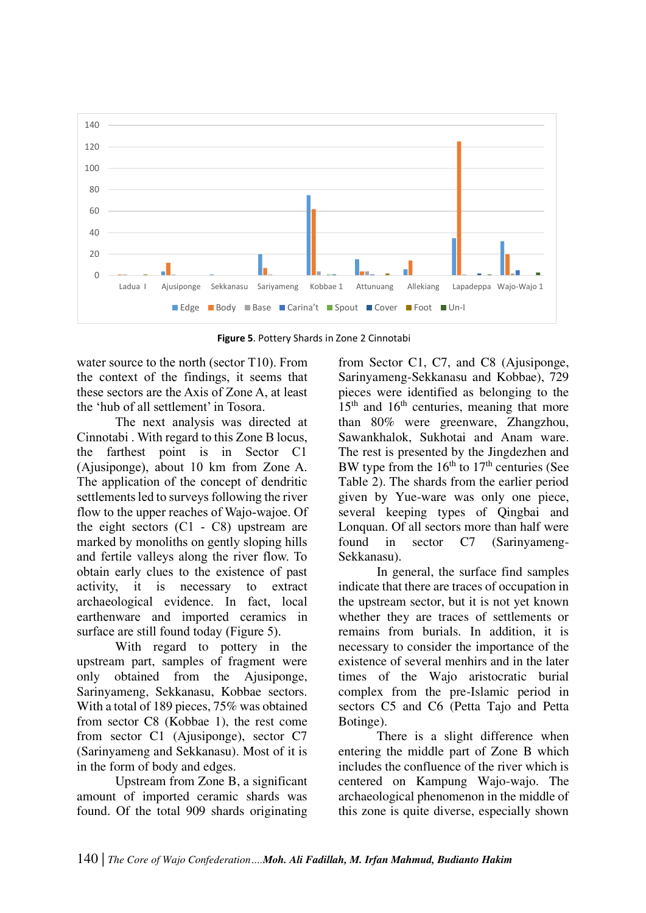

**Figure 5**. Pottery Shards in Zone 2 Cinnotabi

water source to the north (sector T10). From the context of the findings, it seems that these sectors are the Axis of Zone A, at least the 'hub of all settlement' in Tosora.

The next analysis was directed at Cinnotabi . With regard to this Zone B locus, the farthest point is in Sector C1 (Ajusiponge), about 10 km from Zone A. The application of the concept of dendritic settlements led to surveys following the river flow to the upper reaches of Wajo-wajoe. Of the eight sectors (C1 - C8) upstream are marked by monoliths on gently sloping hills and fertile valleys along the river flow. To obtain early clues to the existence of past activity, it is necessary to extract archaeological evidence. In fact, local earthenware and imported ceramics in surface are still found today (Figure 5).

With regard to pottery in the upstream part, samples of fragment were only obtained from the Ajusiponge, Sarinyameng, Sekkanasu, Kobbae sectors. With a total of 189 pieces, 75% was obtained from sector C8 (Kobbae 1), the rest come from sector C1 (Ajusiponge), sector C7 (Sarinyameng and Sekkanasu). Most of it is in the form of body and edges.

Upstream from Zone B, a significant amount of imported ceramic shards was found. Of the total 909 shards originating from Sector C1, C7, and C8 (Ajusiponge, Sarinyameng-Sekkanasu and Kobbae), 729 pieces were identified as belonging to the  $15<sup>th</sup>$  and  $16<sup>th</sup>$  centuries, meaning that more than 80% were greenware, Zhangzhou, Sawankhalok, Sukhotai and Anam ware. The rest is presented by the Jingdezhen and BW type from the  $16<sup>th</sup>$  to  $17<sup>th</sup>$  centuries (See Table 2). The shards from the earlier period given by Yue-ware was only one piece, several keeping types of Qingbai and Lonquan. Of all sectors more than half were found in sector C7 (Sarinyameng-Sekkanasu).

In general, the surface find samples indicate that there are traces of occupation in the upstream sector, but it is not yet known whether they are traces of settlements or remains from burials. In addition, it is necessary to consider the importance of the existence of several menhirs and in the later times of the Wajo aristocratic burial complex from the pre-Islamic period in sectors C5 and C6 (Petta Tajo and Petta Botinge).

There is a slight difference when entering the middle part of Zone B which includes the confluence of the river which is centered on Kampung Wajo-wajo. The archaeological phenomenon in the middle of this zone is quite diverse, especially shown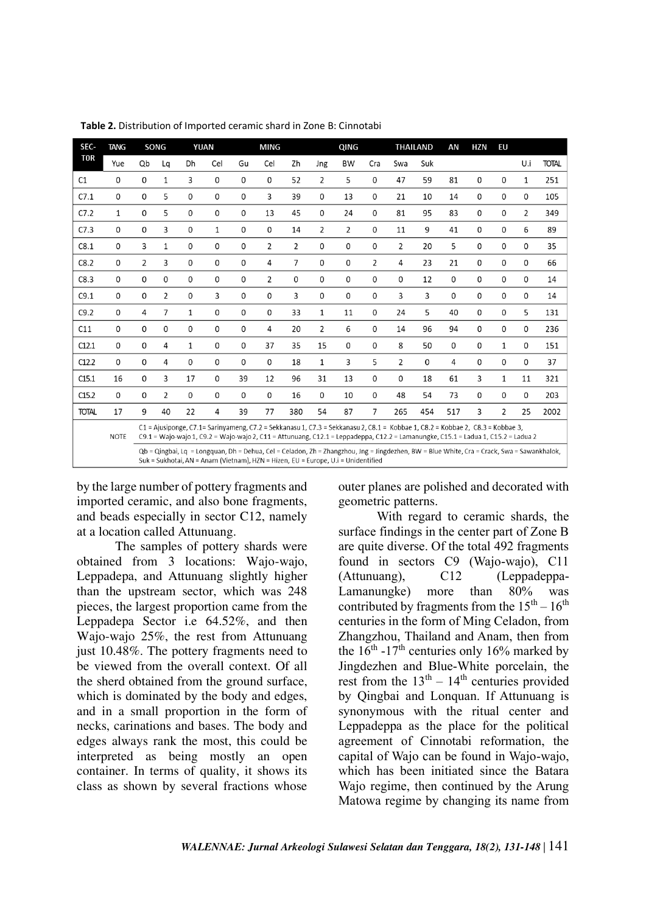| SEC-         | <b>TANG</b>  |                                                                                                                                                                                                                                 | SONG                                                                                                                                                                                                                                                                |    | <b>YUAN</b> | <b>MING</b> |                |                | QING           |                |             | <b>THAILAND</b> |          | AN  | <b>HZN</b> | EU             |             |              |
|--------------|--------------|---------------------------------------------------------------------------------------------------------------------------------------------------------------------------------------------------------------------------------|---------------------------------------------------------------------------------------------------------------------------------------------------------------------------------------------------------------------------------------------------------------------|----|-------------|-------------|----------------|----------------|----------------|----------------|-------------|-----------------|----------|-----|------------|----------------|-------------|--------------|
| <b>TOR</b>   | Yue          | Qb                                                                                                                                                                                                                              | Lq                                                                                                                                                                                                                                                                  | Dh | Cel         | Gu          | Cel            | Zh             | Jng            | <b>BW</b>      | Cra         | Swa             | Suk      |     |            |                | U.i         | <b>TOTAL</b> |
| C1           | 0            | 0                                                                                                                                                                                                                               | 1                                                                                                                                                                                                                                                                   | 3  | 0           | 0           | 0              | 52             | 2              | 5              | $\Omega$    | 47              | 59       | 81  | 0          | 0              | 1           | 251          |
| C7.1         | 0            | 0                                                                                                                                                                                                                               | 5                                                                                                                                                                                                                                                                   | 0  | 0           | 0           | 3              | 39             | 0              | 13             | 0           | 21              | 10       | 14  | 0          | 0              | 0           | 105          |
| C7.2         | $\mathbf{1}$ | 0                                                                                                                                                                                                                               | 5                                                                                                                                                                                                                                                                   | 0  | 0           | 0           | 13             | 45             | 0              | 24             | 0           | 81              | 95       | 83  | 0          | 0              | 2           | 349          |
| C7.3         | 0            | 0                                                                                                                                                                                                                               | 3                                                                                                                                                                                                                                                                   | 0  | 1           | 0           | 0              | 14             | $\overline{2}$ | $\overline{2}$ | 0           | 11              | 9        | 41  | 0          | 0              | 6           | 89           |
| C8.1         | 0            | 3                                                                                                                                                                                                                               | 1                                                                                                                                                                                                                                                                   | 0  | $\Omega$    | 0           | $\overline{2}$ | 2              | 0              | 0              | $\Omega$    | $\overline{2}$  | 20       | 5   | 0          | 0              | 0           | 35           |
| C8.2         | 0            | 2                                                                                                                                                                                                                               | 3                                                                                                                                                                                                                                                                   | 0  | 0           | $\mathbf 0$ | 4              | $\overline{7}$ | 0              | 0              | 2           | 4               | 23       | 21  | 0          | 0              | 0           | 66           |
| C8.3         | 0            | 0                                                                                                                                                                                                                               | 0                                                                                                                                                                                                                                                                   | 0  | 0           | 0           | $\overline{2}$ | 0              | $\mathbf 0$    | 0              | 0           | 0               | 12       | 0   | 0          | 0              | 0           | 14           |
| C9.1         | 0            | 0                                                                                                                                                                                                                               | 2                                                                                                                                                                                                                                                                   | 0  | 3           | 0           | 0              | 3              | $\mathbf 0$    | 0              | 0           | 3               | 3        | 0   | 0          | 0              | $\mathbf 0$ | 14           |
| C9.2         | 0            | 4                                                                                                                                                                                                                               | 7                                                                                                                                                                                                                                                                   | 1  | 0           | 0           | 0              | 33             | $\mathbf{1}$   | 11             | 0           | 24              | 5        | 40  | 0          | 0              | 5           | 131          |
| C11          | 0            | 0                                                                                                                                                                                                                               | 0                                                                                                                                                                                                                                                                   | 0  | 0           | 0           | 4              | 20             | 2              | 6              | $\mathbf 0$ | 14              | 96       | 94  | 0          | 0              | 0           | 236          |
| C12.1        | 0            | 0                                                                                                                                                                                                                               | 4                                                                                                                                                                                                                                                                   | 1  | 0           | 0           | 37             | 35             | 15             | 0              | 0           | 8               | 50       | 0   | 0          | $\mathbf{1}$   | 0           | 151          |
| C12.2        | 0            | 0                                                                                                                                                                                                                               | 4                                                                                                                                                                                                                                                                   | 0  | 0           | $\Omega$    | 0              | 18             | $\mathbf{1}$   | 3              | 5           | $\overline{2}$  | $\Omega$ | 4   | 0          | 0              | 0           | 37           |
| C15.1        | 16           | 0                                                                                                                                                                                                                               | 3                                                                                                                                                                                                                                                                   | 17 | 0           | 39          | 12             | 96             | 31             | 13             | $\mathbf 0$ | 0               | 18       | 61  | 3          | $\mathbf{1}$   | 11          | 321          |
| C15.2        | 0            | 0                                                                                                                                                                                                                               | 2                                                                                                                                                                                                                                                                   | 0  | 0           | 0           | 0              | 16             | 0              | 10             | 0           | 48              | 54       | 73  | 0          | 0              | 0           | 203          |
| <b>TOTAL</b> | 17           | 9                                                                                                                                                                                                                               | 40                                                                                                                                                                                                                                                                  | 22 | 4           | 39          | 77             | 380            | 54             | 87             | 7           | 265             | 454      | 517 | 3          | $\overline{2}$ | 25          | 2002         |
|              | <b>NOTE</b>  |                                                                                                                                                                                                                                 | C1 = Ajusiponge, C7.1= Sarinyameng, C7.2 = Sekkanasu 1, C7.3 = Sekkanasu 2, C8.1 = Kobbae 1, C8.2 = Kobbae 2, C8.3 = Kobbae 3,<br>C9.1 = Wajo-wajo 1, C9.2 = Wajo-wajo 2, C11 = Attunuang, C12.1 = Leppadeppa, C12.2 = Lamanungke, C15.1 = Ladua 1, C15.2 = Ladua 2 |    |             |             |                |                |                |                |             |                 |          |     |            |                |             |              |
|              |              | Qb = Qingbai, Lq = Longquan, Dh = Dehua, Cel = Celadon, Zh = Zhangzhou, Jng = Jingdezhen, BW = Blue White, Cra = Crack, Swa = Sawankhalok,<br>Suk = Sukhotai, AN = Anam (Vietnam), HZN = Hizen, EU = Europe, U.i = Unidentified |                                                                                                                                                                                                                                                                     |    |             |             |                |                |                |                |             |                 |          |     |            |                |             |              |

**Table 2.** Distribution of Imported ceramic shard in Zone B: Cinnotabi

by the large number of pottery fragments and imported ceramic, and also bone fragments, and beads especially in sector C12, namely at a location called Attunuang.

The samples of pottery shards were obtained from 3 locations: Wajo-wajo, Leppadepa, and Attunuang slightly higher than the upstream sector, which was 248 pieces, the largest proportion came from the Leppadepa Sector i.e 64.52%, and then Wajo-wajo 25%, the rest from Attunuang just 10.48%. The pottery fragments need to be viewed from the overall context. Of all the sherd obtained from the ground surface, which is dominated by the body and edges, and in a small proportion in the form of necks, carinations and bases. The body and edges always rank the most, this could be interpreted as being mostly an open container. In terms of quality, it shows its class as shown by several fractions whose outer planes are polished and decorated with geometric patterns.

With regard to ceramic shards, the surface findings in the center part of Zone B are quite diverse. Of the total 492 fragments found in sectors C9 (Wajo-wajo), C11 (Attunuang), C12 (Leppadeppa-Lamanungke) more than 80% was contributed by fragments from the  $15^{\text{th}} - 16^{\text{th}}$ centuries in the form of Ming Celadon, from Zhangzhou, Thailand and Anam, then from the  $16^{th}$  -17<sup>th</sup> centuries only 16% marked by Jingdezhen and Blue-White porcelain, the rest from the  $13<sup>th</sup> - 14<sup>th</sup>$  centuries provided by Qingbai and Lonquan. If Attunuang is synonymous with the ritual center and Leppadeppa as the place for the political agreement of Cinnotabi reformation, the capital of Wajo can be found in Wajo-wajo, which has been initiated since the Batara Wajo regime, then continued by the Arung Matowa regime by changing its name from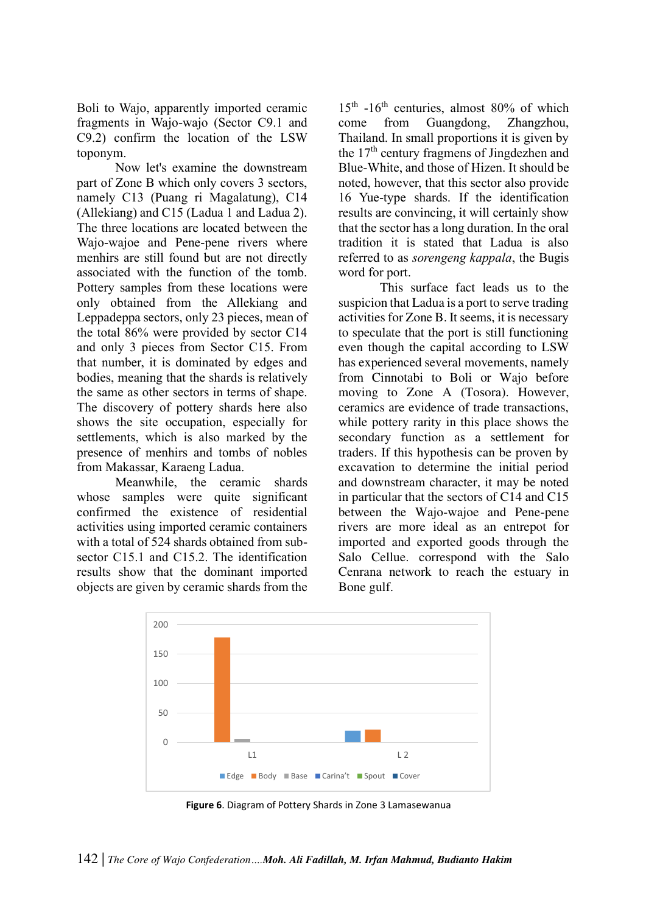Boli to Wajo, apparently imported ceramic fragments in Wajo-wajo (Sector C9.1 and C9.2) confirm the location of the LSW toponym.

Now let's examine the downstream part of Zone B which only covers 3 sectors, namely C13 (Puang ri Magalatung), C14 (Allekiang) and C15 (Ladua 1 and Ladua 2). The three locations are located between the Wajo-wajoe and Pene-pene rivers where menhirs are still found but are not directly associated with the function of the tomb. Pottery samples from these locations were only obtained from the Allekiang and Leppadeppa sectors, only 23 pieces, mean of the total 86% were provided by sector C14 and only 3 pieces from Sector C15. From that number, it is dominated by edges and bodies, meaning that the shards is relatively the same as other sectors in terms of shape. The discovery of pottery shards here also shows the site occupation, especially for settlements, which is also marked by the presence of menhirs and tombs of nobles from Makassar, Karaeng Ladua.

Meanwhile, the ceramic shards whose samples were quite significant confirmed the existence of residential activities using imported ceramic containers with a total of 524 shards obtained from subsector C15.1 and C15.2. The identification results show that the dominant imported objects are given by ceramic shards from the

 $15<sup>th</sup>$  -16<sup>th</sup> centuries, almost 80% of which come from Guangdong, Zhangzhou, Thailand. In small proportions it is given by the  $17<sup>th</sup>$  century fragmens of Jingdezhen and Blue-White, and those of Hizen. It should be noted, however, that this sector also provide 16 Yue-type shards. If the identification results are convincing, it will certainly show that the sector has a long duration. In the oral tradition it is stated that Ladua is also referred to as *sorengeng kappala*, the Bugis word for port.

 This surface fact leads us to the suspicion that Ladua is a port to serve trading activities for Zone B. It seems, it is necessary to speculate that the port is still functioning even though the capital according to LSW has experienced several movements, namely from Cinnotabi to Boli or Wajo before moving to Zone A (Tosora). However, ceramics are evidence of trade transactions, while pottery rarity in this place shows the secondary function as a settlement for traders. If this hypothesis can be proven by excavation to determine the initial period and downstream character, it may be noted in particular that the sectors of C14 and C15 between the Wajo-wajoe and Pene-pene rivers are more ideal as an entrepot for imported and exported goods through the Salo Cellue. correspond with the Salo Cenrana network to reach the estuary in Bone gulf.



**Figure 6**. Diagram of Pottery Shards in Zone 3 Lamasewanua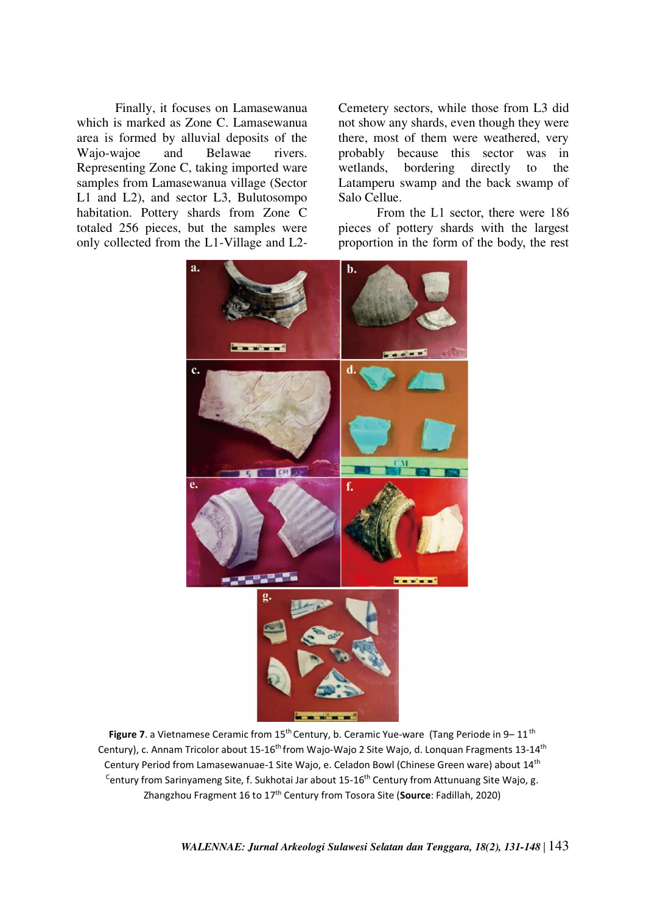Finally, it focuses on Lamasewanua which is marked as Zone C. Lamasewanua area is formed by alluvial deposits of the Wajo-wajoe and Belawae rivers. Representing Zone C, taking imported ware samples from Lamasewanua village (Sector L1 and L2), and sector L3, Bulutosompo habitation. Pottery shards from Zone C totaled 256 pieces, but the samples were only collected from the L1-Village and L2Cemetery sectors, while those from L3 did not show any shards, even though they were there, most of them were weathered, very probably because this sector was in wetlands, bordering directly to the Latamperu swamp and the back swamp of Salo Cellue.

From the L1 sector, there were 186 pieces of pottery shards with the largest proportion in the form of the body, the rest



Figure 7. a Vietnamese Ceramic from 15<sup>th</sup> Century, b. Ceramic Yue-ware (Tang Periode in 9-11<sup>th</sup> Century), c. Annam Tricolor about 15-16<sup>th</sup> from Wajo-Wajo 2 Site Wajo, d. Lonquan Fragments 13-14<sup>th</sup> Century Period from Lamasewanuae-1 Site Wajo, e. Celadon Bowl (Chinese Green ware) about 14th <sup>C</sup>entury from Sarinyameng Site, f. Sukhotai Jar about 15-16<sup>th</sup> Century from Attunuang Site Wajo, g. Zhangzhou Fragment 16 to 17th Century from Tosora Site (**Source**: Fadillah, 2020)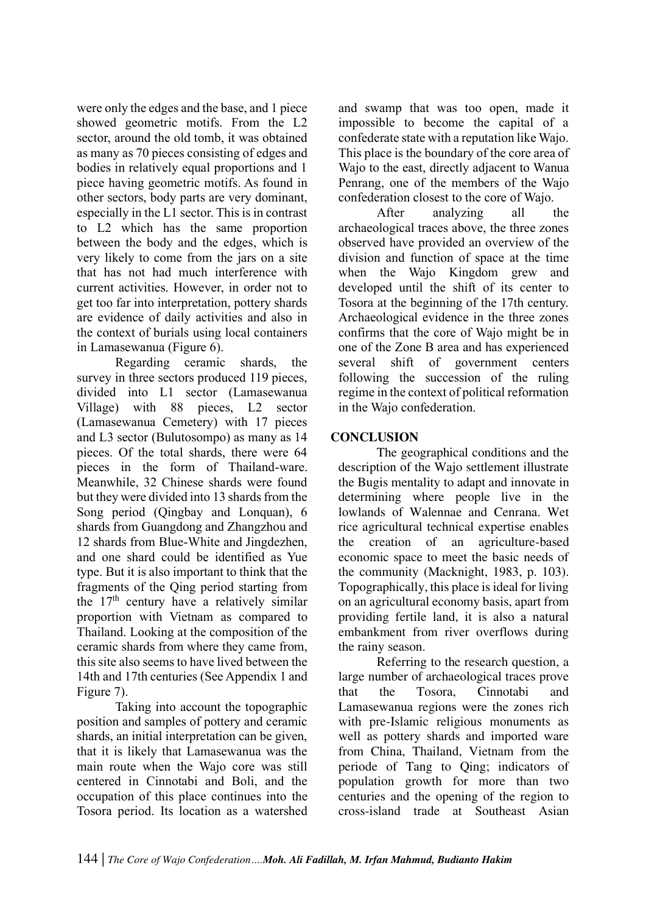were only the edges and the base, and 1 piece showed geometric motifs. From the L2 sector, around the old tomb, it was obtained as many as 70 pieces consisting of edges and bodies in relatively equal proportions and 1 piece having geometric motifs. As found in other sectors, body parts are very dominant, especially in the L1 sector. This is in contrast to L2 which has the same proportion between the body and the edges, which is very likely to come from the jars on a site that has not had much interference with current activities. However, in order not to get too far into interpretation, pottery shards are evidence of daily activities and also in the context of burials using local containers in Lamasewanua (Figure 6).

Regarding ceramic shards, the survey in three sectors produced 119 pieces, divided into L1 sector (Lamasewanua Village) with 88 pieces, L2 sector (Lamasewanua Cemetery) with 17 pieces and L3 sector (Bulutosompo) as many as 14 pieces. Of the total shards, there were 64 pieces in the form of Thailand-ware. Meanwhile, 32 Chinese shards were found but they were divided into 13 shards from the Song period (Qingbay and Lonquan), 6 shards from Guangdong and Zhangzhou and 12 shards from Blue-White and Jingdezhen, and one shard could be identified as Yue type. But it is also important to think that the fragments of the Qing period starting from the  $17<sup>th</sup>$  century have a relatively similar proportion with Vietnam as compared to Thailand. Looking at the composition of the ceramic shards from where they came from, this site also seems to have lived between the 14th and 17th centuries (See Appendix 1 and Figure 7).

Taking into account the topographic position and samples of pottery and ceramic shards, an initial interpretation can be given, that it is likely that Lamasewanua was the main route when the Wajo core was still centered in Cinnotabi and Boli, and the occupation of this place continues into the Tosora period. Its location as a watershed and swamp that was too open, made it impossible to become the capital of a confederate state with a reputation like Wajo. This place is the boundary of the core area of Wajo to the east, directly adjacent to Wanua Penrang, one of the members of the Wajo confederation closest to the core of Wajo.

After analyzing all the archaeological traces above, the three zones observed have provided an overview of the division and function of space at the time when the Wajo Kingdom grew and developed until the shift of its center to Tosora at the beginning of the 17th century. Archaeological evidence in the three zones confirms that the core of Wajo might be in one of the Zone B area and has experienced several shift of government centers following the succession of the ruling regime in the context of political reformation in the Wajo confederation.

# **CONCLUSION**

The geographical conditions and the description of the Wajo settlement illustrate the Bugis mentality to adapt and innovate in determining where people live in the lowlands of Walennae and Cenrana. Wet rice agricultural technical expertise enables the creation of an agriculture-based economic space to meet the basic needs of the community (Macknight, 1983, p. 103). Topographically, this place is ideal for living on an agricultural economy basis, apart from providing fertile land, it is also a natural embankment from river overflows during the rainy season.

Referring to the research question, a large number of archaeological traces prove that the Tosora, Cinnotabi and Lamasewanua regions were the zones rich with pre-Islamic religious monuments as well as pottery shards and imported ware from China, Thailand, Vietnam from the periode of Tang to Qing; indicators of population growth for more than two centuries and the opening of the region to cross-island trade at Southeast Asian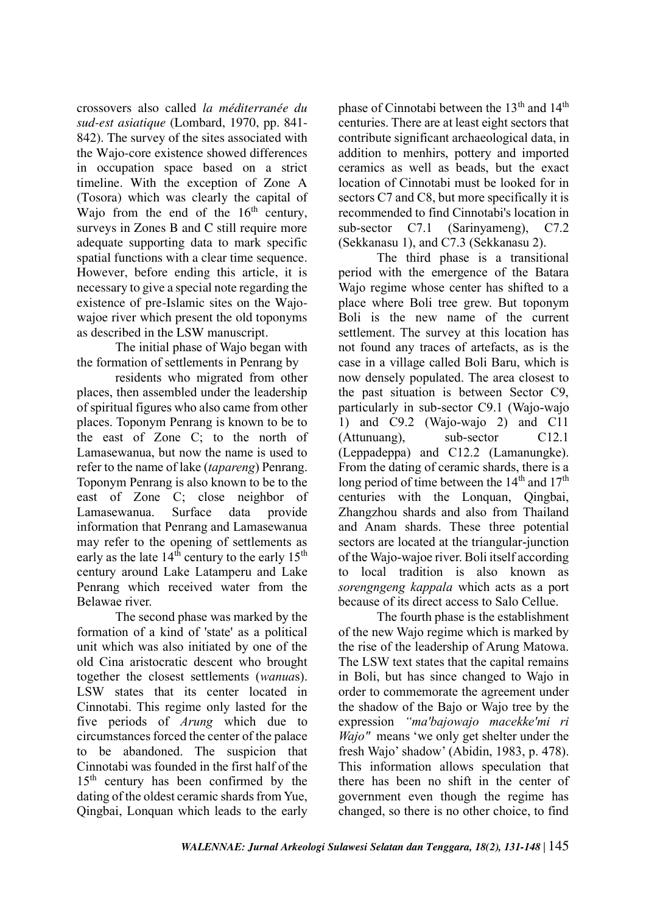crossovers also called *la méditerranée du sud-est asiatique* (Lombard, 1970, pp. 841- 842). The survey of the sites associated with the Wajo-core existence showed differences in occupation space based on a strict timeline. With the exception of Zone A (Tosora) which was clearly the capital of Wajo from the end of the  $16<sup>th</sup>$  century, surveys in Zones B and C still require more adequate supporting data to mark specific spatial functions with a clear time sequence. However, before ending this article, it is necessary to give a special note regarding the existence of pre-Islamic sites on the Wajowajoe river which present the old toponyms as described in the LSW manuscript.

The initial phase of Wajo began with the formation of settlements in Penrang by

residents who migrated from other places, then assembled under the leadership of spiritual figures who also came from other places. Toponym Penrang is known to be to the east of Zone C; to the north of Lamasewanua, but now the name is used to refer to the name of lake (*tapareng*) Penrang. Toponym Penrang is also known to be to the east of Zone C; close neighbor of Lamasewanua. Surface data provide information that Penrang and Lamasewanua may refer to the opening of settlements as early as the late  $14<sup>th</sup>$  century to the early  $15<sup>th</sup>$ century around Lake Latamperu and Lake Penrang which received water from the Belawae river.

The second phase was marked by the formation of a kind of 'state' as a political unit which was also initiated by one of the old Cina aristocratic descent who brought together the closest settlements (*wanua*s). LSW states that its center located in Cinnotabi. This regime only lasted for the five periods of *Arung* which due to circumstances forced the center of the palace to be abandoned. The suspicion that Cinnotabi was founded in the first half of the 15<sup>th</sup> century has been confirmed by the dating of the oldest ceramic shards from Yue, Qingbai, Lonquan which leads to the early phase of Cinnotabi between the 13<sup>th</sup> and 14<sup>th</sup> centuries. There are at least eight sectors that contribute significant archaeological data, in addition to menhirs, pottery and imported ceramics as well as beads, but the exact location of Cinnotabi must be looked for in sectors C7 and C8, but more specifically it is recommended to find Cinnotabi's location in sub-sector C7.1 (Sarinyameng), C7.2 (Sekkanasu 1), and C7.3 (Sekkanasu 2).

The third phase is a transitional period with the emergence of the Batara Wajo regime whose center has shifted to a place where Boli tree grew. But toponym Boli is the new name of the current settlement. The survey at this location has not found any traces of artefacts, as is the case in a village called Boli Baru, which is now densely populated. The area closest to the past situation is between Sector C9, particularly in sub-sector C9.1 (Wajo-wajo 1) and C9.2 (Wajo-wajo 2) and C11 (Attunuang), sub-sector C12.1 (Leppadeppa) and C12.2 (Lamanungke). From the dating of ceramic shards, there is a long period of time between the  $14<sup>th</sup>$  and  $17<sup>th</sup>$ centuries with the Lonquan, Qingbai, Zhangzhou shards and also from Thailand and Anam shards. These three potential sectors are located at the triangular-junction of the Wajo-wajoe river. Boli itself according to local tradition is also known as *sorengngeng kappala* which acts as a port because of its direct access to Salo Cellue.

The fourth phase is the establishment of the new Wajo regime which is marked by the rise of the leadership of Arung Matowa. The LSW text states that the capital remains in Boli, but has since changed to Wajo in order to commemorate the agreement under the shadow of the Bajo or Wajo tree by the expression *"ma'bajowajo macekke'mi ri Wajo"* means 'we only get shelter under the fresh Wajo' shadow' (Abidin, 1983, p. 478). This information allows speculation that there has been no shift in the center of government even though the regime has changed, so there is no other choice, to find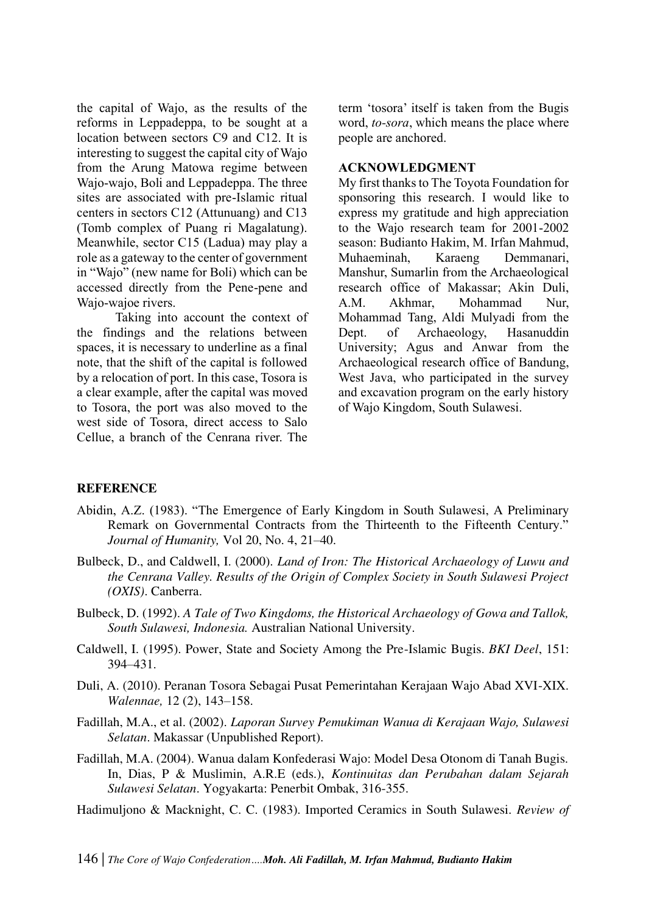the capital of Wajo, as the results of the reforms in Leppadeppa, to be sought at a location between sectors C9 and C12. It is interesting to suggest the capital city of Wajo from the Arung Matowa regime between Wajo-wajo, Boli and Leppadeppa. The three sites are associated with pre-Islamic ritual centers in sectors C12 (Attunuang) and C13 (Tomb complex of Puang ri Magalatung). Meanwhile, sector C15 (Ladua) may play a role as a gateway to the center of government in "Wajo" (new name for Boli) which can be accessed directly from the Pene-pene and Wajo-wajoe rivers.

Taking into account the context of the findings and the relations between spaces, it is necessary to underline as a final note, that the shift of the capital is followed by a relocation of port. In this case, Tosora is a clear example, after the capital was moved to Tosora, the port was also moved to the west side of Tosora, direct access to Salo Cellue, a branch of the Cenrana river. The

term 'tosora' itself is taken from the Bugis word, *to-sora*, which means the place where people are anchored.

### **ACKNOWLEDGMENT**

My first thanks to The Toyota Foundation for sponsoring this research. I would like to express my gratitude and high appreciation to the Wajo research team for 2001-2002 season: Budianto Hakim, M. Irfan Mahmud, Muhaeminah, Karaeng Demmanari, Manshur, Sumarlin from the Archaeological research office of Makassar; Akin Duli, A.M. Akhmar, Mohammad Nur, Mohammad Tang, Aldi Mulyadi from the Dept. of Archaeology, Hasanuddin University; Agus and Anwar from the Archaeological research office of Bandung, West Java, who participated in the survey and excavation program on the early history of Wajo Kingdom, South Sulawesi.

## **REFERENCE**

- Abidin, A.Z. (1983). "The Emergence of Early Kingdom in South Sulawesi, A Preliminary Remark on Governmental Contracts from the Thirteenth to the Fifteenth Century." *Journal of Humanity,* Vol 20, No. 4, 21–40.
- Bulbeck, D., and Caldwell, I. (2000). *Land of Iron: The Historical Archaeology of Luwu and the Cenrana Valley. Results of the Origin of Complex Society in South Sulawesi Project (OXIS)*. Canberra.
- Bulbeck, D. (1992). *A Tale of Two Kingdoms, the Historical Archaeology of Gowa and Tallok, South Sulawesi, Indonesia.* Australian National University.
- Caldwell, I. (1995). Power, State and Society Among the Pre-Islamic Bugis. *BKI Deel*, 151: 394–431.
- Duli, A. (2010). Peranan Tosora Sebagai Pusat Pemerintahan Kerajaan Wajo Abad XVI-XIX. *Walennae,* 12 (2), 143–158.
- Fadillah, M.A., et al. (2002). *Laporan Survey Pemukiman Wanua di Kerajaan Wajo, Sulawesi Selatan*. Makassar (Unpublished Report).
- Fadillah, M.A. (2004). Wanua dalam Konfederasi Wajo: Model Desa Otonom di Tanah Bugis. In, Dias, P & Muslimin, A.R.E (eds.), *Kontinuitas dan Perubahan dalam Sejarah Sulawesi Selatan*. Yogyakarta: Penerbit Ombak, 316-355.
- Hadimuljono & Macknight, C. C. (1983). Imported Ceramics in South Sulawesi. *Review of*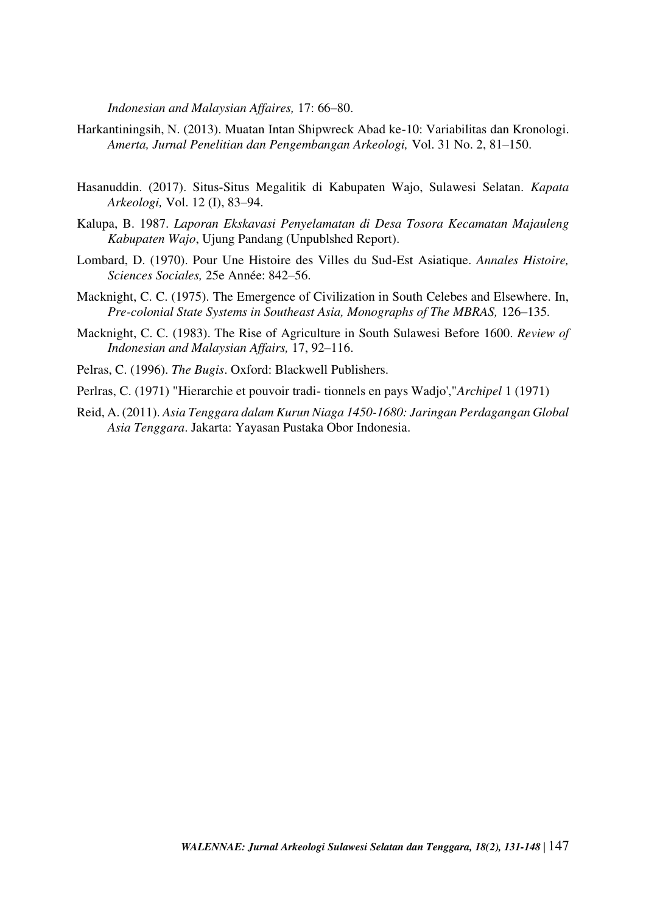*Indonesian and Malaysian Affaires,* 17: 66–80.

- Harkantiningsih, N. (2013). Muatan Intan Shipwreck Abad ke-10: Variabilitas dan Kronologi. *Amerta, Jurnal Penelitian dan Pengembangan Arkeologi,* Vol. 31 No. 2, 81–150.
- Hasanuddin. (2017). Situs-Situs Megalitik di Kabupaten Wajo, Sulawesi Selatan. *Kapata Arkeologi,* Vol. 12 (I), 83–94.
- Kalupa, B. 1987. *Laporan Ekskavasi Penyelamatan di Desa Tosora Kecamatan Majauleng Kabupaten Wajo*, Ujung Pandang (Unpublshed Report).
- Lombard, D. (1970). Pour Une Histoire des Villes du Sud-Est Asiatique. *Annales Histoire, Sciences Sociales,* 25e Année: 842–56.
- Macknight, C. C. (1975). The Emergence of Civilization in South Celebes and Elsewhere. In, *Pre-colonial State Systems in Southeast Asia, Monographs of The MBRAS,* 126–135.
- Macknight, C. C. (1983). The Rise of Agriculture in South Sulawesi Before 1600. *Review of Indonesian and Malaysian Affairs,* 17, 92–116.
- Pelras, C. (1996). *The Bugis*. Oxford: Blackwell Publishers.
- Perlras, C. (1971) "Hierarchie et pouvoir tradi- tionnels en pays Wadjo',"*Archipel* 1 (1971)
- Reid, A. (2011). *Asia Tenggara dalam Kurun Niaga 1450-1680: Jaringan Perdagangan Global Asia Tenggara*. Jakarta: Yayasan Pustaka Obor Indonesia.